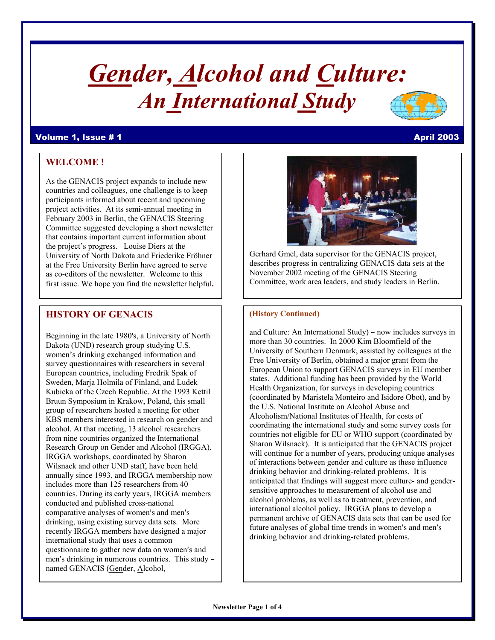# *Gender, Alcohol and Culture: An International Study*

#### Volume 1, Issue # 1 April 2003

# **WELCOME !**

As the GENACIS project expands to include new countries and colleagues, one challenge is to keep participants informed about recent and upcoming project activities. At its semi-annual meeting in February 2003 in Berlin, the GENACIS Steering Committee suggested developing a short newsletter that contains important current information about the project's progress. Louise Diers at the University of North Dakota and Friederike Fröhner at the Free University Berlin have agreed to serve as co-editors of the newsletter. Welcome to this first issue. We hope you find the newsletter helpful**.** 

# **HISTORY OF GENACIS**

Beginning in the late 1980's, a University of North Dakota (UND) research group studying U.S. women's drinking exchanged information and survey questionnaires with researchers in several European countries, including Fredrik Spak of Sweden, Marja Holmila of Finland, and Ludek Kubicka of the Czech Republic. At the 1993 Kettil Bruun Symposium in Krakow, Poland, this small group of researchers hosted a meeting for other KBS members interested in research on gender and alcohol. At that meeting, 13 alcohol researchers from nine countries organized the International Research Group on Gender and Alcohol (IRGGA). IRGGA workshops, coordinated by Sharon Wilsnack and other UND staff, have been held annually since 1993, and IRGGA membership now includes more than 125 researchers from 40 countries. During its early years, IRGGA members conducted and published cross-national comparative analyses of women's and men's drinking, using existing survey data sets. More recently IRGGA members have designed a major international study that uses a common questionnaire to gather new data on women's and men's drinking in numerous countries. This study named GENACIS (Gender, Alcohol,

Gerhard Gmel, data supervisor for the GENACIS project, describes progress in centralizing GENACIS data sets at the November 2002 meeting of the GENACIS Steering Committee, work area leaders, and study leaders in Berlin.

#### **(History Continued)**

and Culture: An International Study) - now includes surveys in more than 30 countries. In 2000 Kim Bloomfield of the University of Southern Denmark, assisted by colleagues at the Free University of Berlin, obtained a major grant from the European Union to support GENACIS surveys in EU member states. Additional funding has been provided by the World Health Organization, for surveys in developing countries (coordinated by Maristela Monteiro and Isidore Obot), and by the U.S. National Institute on Alcohol Abuse and Alcoholism/National Institutes of Health, for costs of coordinating the international study and some survey costs for countries not eligible for EU or WHO support (coordinated by Sharon Wilsnack). It is anticipated that the GENACIS project will continue for a number of years, producing unique analyses of interactions between gender and culture as these influence drinking behavior and drinking-related problems. It is anticipated that findings will suggest more culture- and gendersensitive approaches to measurement of alcohol use and alcohol problems, as well as to treatment, prevention, and international alcohol policy. IRGGA plans to develop a permanent archive of GENACIS data sets that can be used for future analyses of global time trends in women's and men's drinking behavior and drinking-related problems.

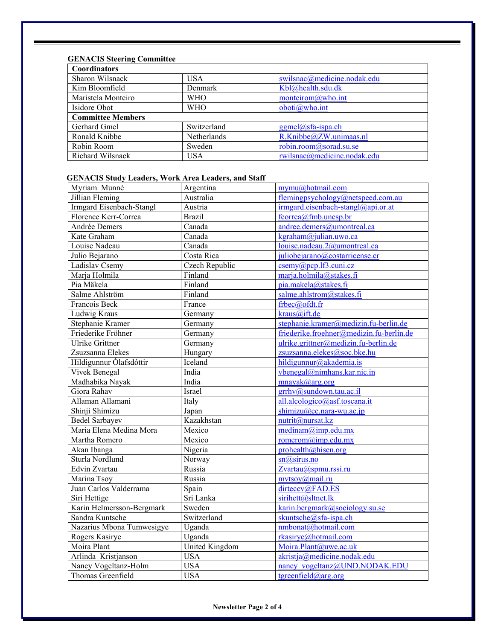# **GENACIS Steering Committee**

| <b>USA</b>  | swilsnac@medicine.nodak.edu |
|-------------|-----------------------------|
| Denmark     | Kbl@health.sdu.dk           |
| <b>WHO</b>  | monteirom@who.int           |
| <b>WHO</b>  | oboti@who.int               |
|             |                             |
| Switzerland | $ggmel@sfa-ispa.ch$         |
| Netherlands | R.Knibbe@ZW.unimaas.nl      |
| Sweden      | robin.room@sorad.su.se      |
| <b>USA</b>  | rwilsnac@medicine.nodak.edu |
|             |                             |

# **GENACIS Study Leaders, Work Area Leaders, and Staff**

| Myriam Munné              | Argentina           | mymu@hotmail.com                           |
|---------------------------|---------------------|--------------------------------------------|
| Jillian Fleming           | Australia           | flemingpsychology@netspeed.com.au          |
| Irmgard Eisenbach-Stangl  | Austria             | irmgard.eisenbach-stangl@api.or.at         |
| Florence Kerr-Correa      | <b>Brazil</b>       | fcorrea@fmb.unesp.br                       |
| Andrée Demers             | Canada              | andree.demers@umontreal.ca                 |
| Kate Graham               | Canada              | kgraham@julian.uwo.ca                      |
| Louise Nadeau             | Canada              | louise.nadeau.2@umontreal.ca               |
| Julio Bejarano            | Costa Rica          | juliobejarano@costarricense.cr             |
| Ladislav Csemy            | Czech Republic      | $csemy(a)pcp.$ If 3. cuni. cz              |
| Marja Holmila             | Finland             | marja.holmila@stakes.fi                    |
| Pia Mäkela                | Finland             | pia.makela@stakes.fi                       |
| Salme Ahlström            | Finland             | salme.ahlstrom@stakes.fi                   |
| Francois Beck             | France              | frbec@ofdt.fr                              |
| Ludwig Kraus              | Germany             | kraus@ift.de                               |
| Stephanie Kramer          | Germany             | stephanie.kramer@medizin.fu-berlin.de      |
| Friederike Fröhner        | Germany             | friederike.froehner@medizin.fu-berlin.de   |
| <b>Ulrike Grittner</b>    | Germany             | ulrike.grittner@medizin.fu-berlin.de       |
| Zsuzsanna Elekes          | Hungary             | zsuzsanna.elekes@soc.bke.hu                |
| Hildigunnur Ólafsdóttir   | Iceland             | hildigunnur@akademia.is                    |
| Vivek Benegal             | India               | vbenegal@nimhans.kar.nic.in                |
| Madhabika Nayak           | India               | mnayak@arg.org                             |
| Giora Rahav               | Israel              | grrhv@sundown.tau.ac.il                    |
| Allaman Allamani          | Italy               | all.alcologico@asf.toscana.it              |
| Shinji Shimizu            | Japan               | $\frac{\text{shimizu}(Q)$ cc.nara-wu.ac.jp |
| <b>Bedel Sarbayev</b>     | Kazakhstan          | nutrit@nursat.kz                           |
| Maria Elena Medina Mora   | Mexico              | $median(\widehat{a}$ imp.edu.mx            |
| Martha Romero             | Mexico              | romerom@imp.edu.mx                         |
| Akan Ibanga               | Nigeria             | prohealth@hisen.org                        |
| Sturla Nordlund           | Norway              | sn@sirus.no                                |
| Edvin Zvartau             | Russia              | Zvartau@spmu.rssi.ru                       |
| Marina Tsoy               | Russia              | $mvtsoy(a)$ mail.ru                        |
| Juan Carlos Valderrama    | $\overline{S}$ pain | dirteccv@FAD.ES                            |
| Siri Hettige              | Sri Lanka           | sirihett@sltnet.lk                         |
| Karin Helmersson-Bergmark | Sweden              | karin.bergmark@sociology.su.se             |
| Sandra Kuntsche           | Switzerland         | skuntsche@sfa-ispa.ch                      |
| Nazarius Mbona Tumwesigye | Uganda              | nmbonat@hotmail.com                        |
| Rogers Kasirye            | Uganda              | rkasirye@hotmail.com                       |
| Moira Plant               | United Kingdom      | Moira.Plant@uwe.ac.uk                      |
| Arlinda Kristjanson       | <b>USA</b>          | akristja@medicine.nodak.edu                |
| Nancy Vogeltanz-Holm      | <b>USA</b>          | nancy vogeltanz@UND.NODAK.EDU              |
| Thomas Greenfield         | <b>USA</b>          | tgreenfield@arg.org                        |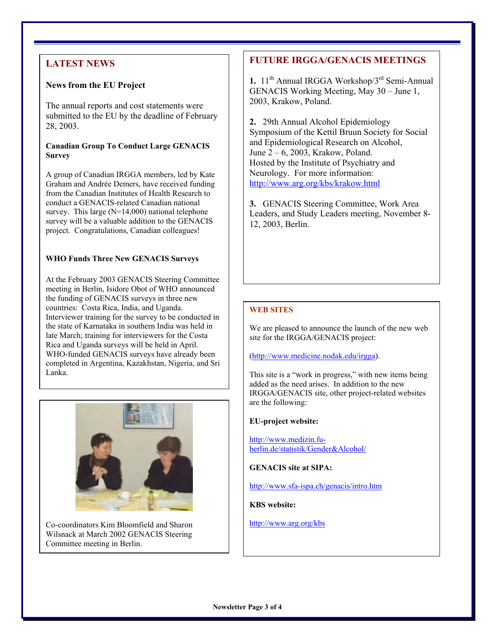# **LATEST NEWS**

# **News from the EU Project**

The annual reports and cost statements were submitted to the EU by the deadline of February 28, 2003.

### **Canadian Group To Conduct Large GENACIS Survey**

A group of Canadian IRGGA members, led by Kate Graham and Andrée Demers, have received funding from the Canadian Institutes of Health Research to conduct a GENACIS-related Canadian national survey. This large  $(N=14,000)$  national telephone survey will be a valuable addition to the GENACIS project. Congratulations, Canadian colleagues!

# **WHO Funds Three New GENACIS Surveys**

At the February 2003 GENACIS Steering Committee meeting in Berlin, Isidore Obot of WHO announced the funding of GENACIS surveys in three new countries: Costa Rica, India, and Uganda. Interviewer training for the survey to be conducted in the state of Karnataka in southern India was held in late March; training for interviewers for the Costa Rica and Uganda surveys will be held in April. WHO-funded GENACIS surveys have already been completed in Argentina, Kazakhstan, Nigeria, and Sri Lanka.



Co-coordinators Kim Bloomfield and Sharon http://www.arg.org/kbs Wilsnack at March 2002 GENACIS Steering Committee meeting in Berlin.

# **FUTURE IRGGA/GENACIS MEETINGS**

**1.** 11th Annual IRGGA Workshop/3rd Semi-Annual GENACIS Working Meeting, May 30 – June 1, 2003, Krakow, Poland.

**2.** 29th Annual Alcohol Epidemiology Symposium of the Kettil Bruun Society for Social and Epidemiological Research on Alcohol, June 2 – 6, 2003, Krakow, Poland. Hosted by the Institute of Psychiatry and Neurology. For more information: http://www.arg.org/kbs/krakow.html

**3.** GENACIS Steering Committee, Work Area Leaders, and Study Leaders meeting, November 8- 12, 2003, Berlin.

# **WEB SITES**

We are pleased to announce the launch of the new web site for the IRGGA/GENACIS project:

(http://www.medicine.nodak.edu/irgga).

This site is a "work in progress," with new items being added as the need arises. In addition to the new IRGGA/GENACIS site, other project-related websites are the following:

# **EU-project website:**

http://www.medizin.fuberlin.de/statistik/Gender&Alcohol/

**GENACIS site at SIPA:** 

http://www.sfa-ispa.ch/genacis/intro.htm

**KBS website:**